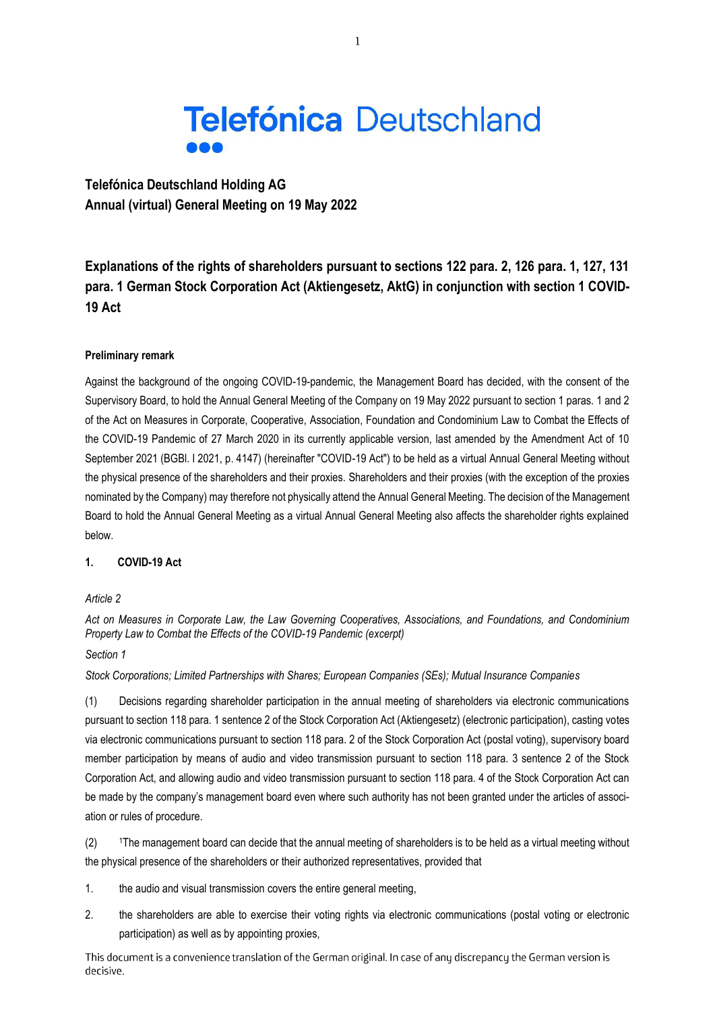

**Telefónica Deutschland Holding AG Annual (virtual) General Meeting on 19 May 2022** 

**Explanations of the rights of shareholders pursuant to sections 122 para. 2, 126 para. 1, 127, 131 para. 1 German Stock Corporation Act (Aktiengesetz, AktG) in conjunction with section 1 COVID-19 Act** 

### **Preliminary remark**

Against the background of the ongoing COVID-19-pandemic, the Management Board has decided, with the consent of the Supervisory Board, to hold the Annual General Meeting of the Company on 19 May 2022 pursuant to section 1 paras. 1 and 2 of the Act on Measures in Corporate, Cooperative, Association, Foundation and Condominium Law to Combat the Effects of the COVID-19 Pandemic of 27 March 2020 in its currently applicable version, last amended by the Amendment Act of 10 September 2021 (BGBl. I 2021, p. 4147) (hereinafter "COVID-19 Act") to be held as a virtual Annual General Meeting without the physical presence of the shareholders and their proxies. Shareholders and their proxies (with the exception of the proxies nominated by the Company) may therefore not physically attend the Annual General Meeting. The decision of the Management Board to hold the Annual General Meeting as a virtual Annual General Meeting also affects the shareholder rights explained below.

## **1. COVID-19 Act**

#### *Article 2*

*Act on Measures in Corporate Law, the Law Governing Cooperatives, Associations, and Foundations, and Condominium Property Law to Combat the Effects of the COVID-19 Pandemic (excerpt)* 

## *Section 1*

*Stock Corporations; Limited Partnerships with Shares; European Companies (SEs); Mutual Insurance Companies* 

(1) Decisions regarding shareholder participation in the annual meeting of shareholders via electronic communications pursuant to section 118 para. 1 sentence 2 of the Stock Corporation Act (Aktiengesetz) (electronic participation), casting votes via electronic communications pursuant to section 118 para. 2 of the Stock Corporation Act (postal voting), supervisory board member participation by means of audio and video transmission pursuant to section 118 para. 3 sentence 2 of the Stock Corporation Act, and allowing audio and video transmission pursuant to section 118 para. 4 of the Stock Corporation Act can be made by the company's management board even where such authority has not been granted under the articles of association or rules of procedure.

(2) 1The management board can decide that the annual meeting of shareholders is to be held as a virtual meeting without the physical presence of the shareholders or their authorized representatives, provided that

1. the audio and visual transmission covers the entire general meeting,

2. the shareholders are able to exercise their voting rights via electronic communications (postal voting or electronic participation) as well as by appointing proxies,

This document is a convenience translation of the German original. In case of any discrepancy the German version is decisive.

 $\mathbf{1}$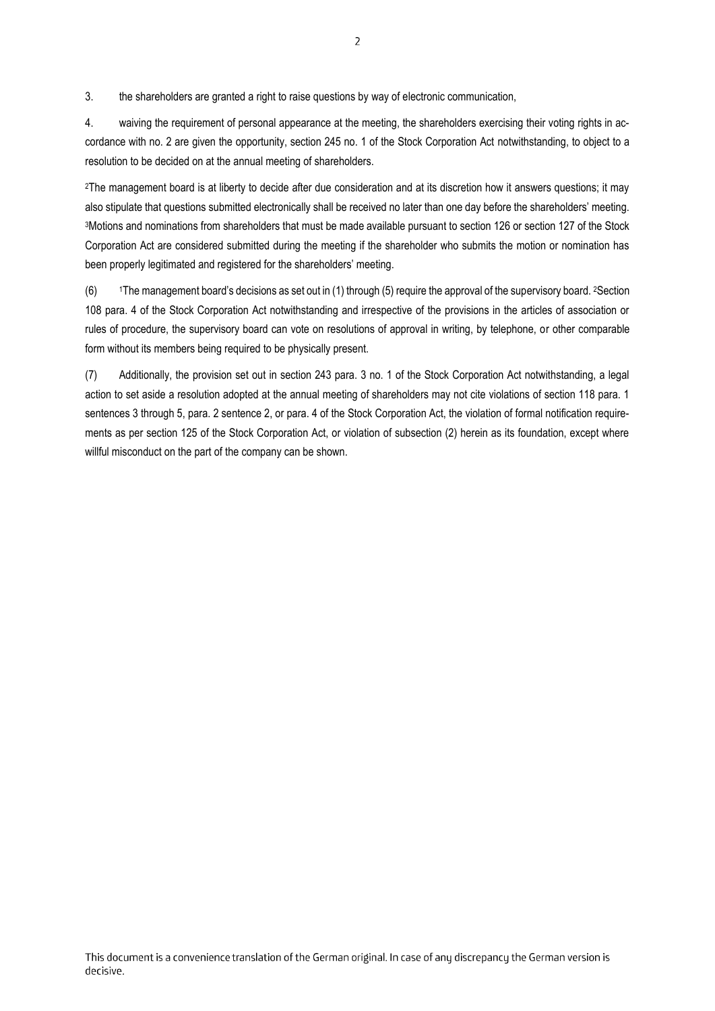3. the shareholders are granted a right to raise questions by way of electronic communication,

4. waiving the requirement of personal appearance at the meeting, the shareholders exercising their voting rights in accordance with no. 2 are given the opportunity, section 245 no. 1 of the Stock Corporation Act notwithstanding, to object to a resolution to be decided on at the annual meeting of shareholders.

<sup>2</sup>The management board is at liberty to decide after due consideration and at its discretion how it answers questions; it may also stipulate that questions submitted electronically shall be received no later than one day before the shareholders' meeting. <sup>3</sup>Motions and nominations from shareholders that must be made available pursuant to section 126 or section 127 of the Stock Corporation Act are considered submitted during the meeting if the shareholder who submits the motion or nomination has been properly legitimated and registered for the shareholders' meeting.

 $(6)$  1The management board's decisions as set out in (1) through (5) require the approval of the supervisory board. <sup>2</sup>Section 108 para. 4 of the Stock Corporation Act notwithstanding and irrespective of the provisions in the articles of association or rules of procedure, the supervisory board can vote on resolutions of approval in writing, by telephone, or other comparable form without its members being required to be physically present.

(7) Additionally, the provision set out in section 243 para. 3 no. 1 of the Stock Corporation Act notwithstanding, a legal action to set aside a resolution adopted at the annual meeting of shareholders may not cite violations of section 118 para. 1 sentences 3 through 5, para. 2 sentence 2, or para. 4 of the Stock Corporation Act, the violation of formal notification requirements as per section 125 of the Stock Corporation Act, or violation of subsection (2) herein as its foundation, except where willful misconduct on the part of the company can be shown.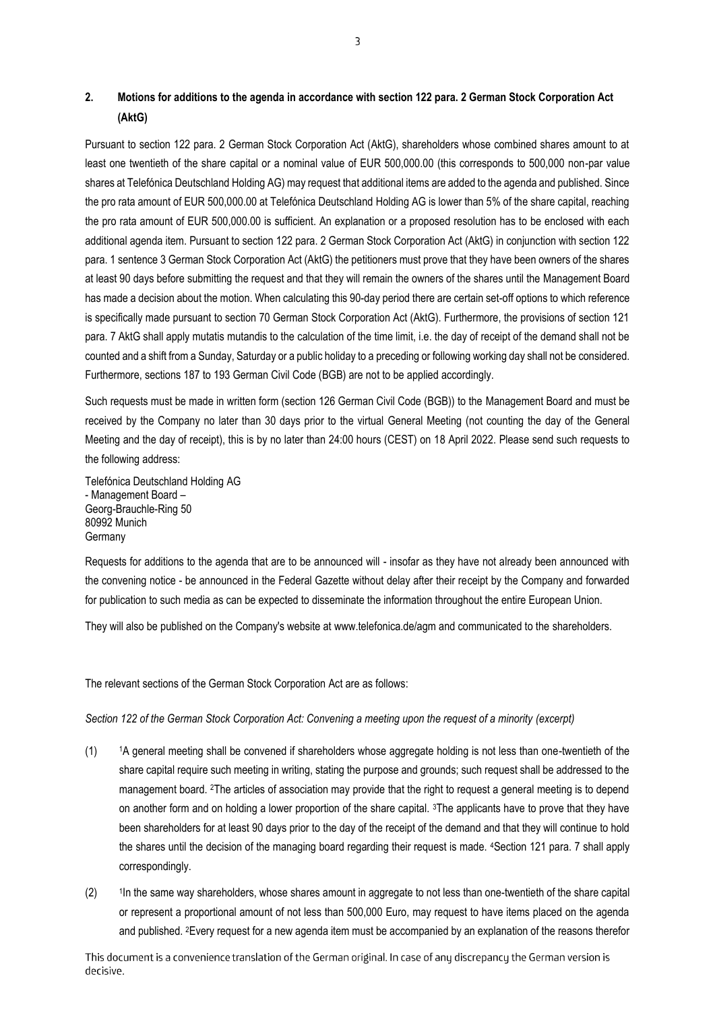## **2. Motions for additions to the agenda in accordance with section 122 para. 2 German Stock Corporation Act (AktG)**

Pursuant to section 122 para. 2 German Stock Corporation Act (AktG), shareholders whose combined shares amount to at least one twentieth of the share capital or a nominal value of EUR 500,000.00 (this corresponds to 500,000 non-par value shares at Telefónica Deutschland Holding AG) may request that additional items are added to the agenda and published. Since the pro rata amount of EUR 500,000.00 at Telefónica Deutschland Holding AG is lower than 5% of the share capital, reaching the pro rata amount of EUR 500,000.00 is sufficient. An explanation or a proposed resolution has to be enclosed with each additional agenda item. Pursuant to section 122 para. 2 German Stock Corporation Act (AktG) in conjunction with section 122 para. 1 sentence 3 German Stock Corporation Act (AktG) the petitioners must prove that they have been owners of the shares at least 90 days before submitting the request and that they will remain the owners of the shares until the Management Board has made a decision about the motion. When calculating this 90-day period there are certain set-off options to which reference is specifically made pursuant to section 70 German Stock Corporation Act (AktG). Furthermore, the provisions of section 121 para. 7 AktG shall apply mutatis mutandis to the calculation of the time limit, i.e. the day of receipt of the demand shall not be counted and a shift from a Sunday, Saturday or a public holiday to a preceding or following working day shall not be considered. Furthermore, sections 187 to 193 German Civil Code (BGB) are not to be applied accordingly.

Such requests must be made in written form (section 126 German Civil Code (BGB)) to the Management Board and must be received by the Company no later than 30 days prior to the virtual General Meeting (not counting the day of the General Meeting and the day of receipt), this is by no later than 24:00 hours (CEST) on 18 April 2022. Please send such requests to the following address:

Telefónica Deutschland Holding AG - Management Board – Georg-Brauchle-Ring 50 80992 Munich **Germany** 

Requests for additions to the agenda that are to be announced will - insofar as they have not already been announced with the convening notice - be announced in the Federal Gazette without delay after their receipt by the Company and forwarded for publication to such media as can be expected to disseminate the information throughout the entire European Union.

They will also be published on the Company's website at www.telefonica.de/agm and communicated to the shareholders.

The relevant sections of the German Stock Corporation Act are as follows:

*Section 122 of the German Stock Corporation Act: Convening a meeting upon the request of a minority (excerpt)* 

- (1) 1A general meeting shall be convened if shareholders whose aggregate holding is not less than one-twentieth of the share capital require such meeting in writing, stating the purpose and grounds; such request shall be addressed to the management board. 2The articles of association may provide that the right to request a general meeting is to depend on another form and on holding a lower proportion of the share capital. 3The applicants have to prove that they have been shareholders for at least 90 days prior to the day of the receipt of the demand and that they will continue to hold the shares until the decision of the managing board regarding their request is made. 4Section 121 para. 7 shall apply correspondingly.
- $(2)$ In the same way shareholders, whose shares amount in aggregate to not less than one-twentieth of the share capital or represent a proportional amount of not less than 500,000 Euro, may request to have items placed on the agenda and published. 2Every request for a new agenda item must be accompanied by an explanation of the reasons therefor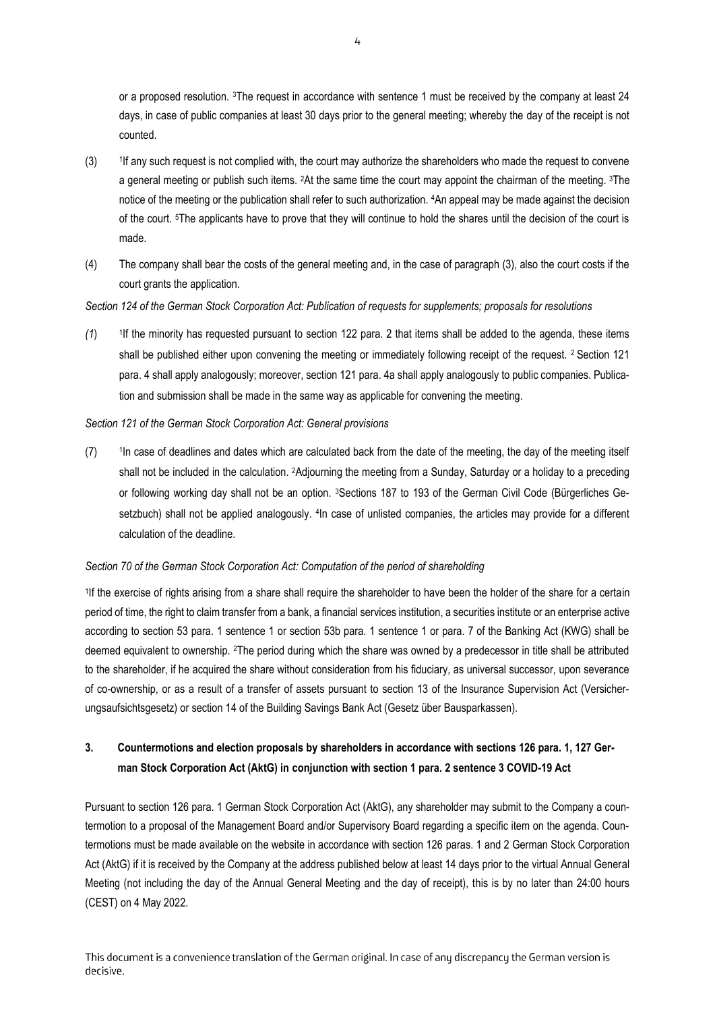or a proposed resolution. 3The request in accordance with sentence 1 must be received by the company at least 24 days, in case of public companies at least 30 days prior to the general meeting; whereby the day of the receipt is not counted.

- $(3)$ If any such request is not complied with, the court may authorize the shareholders who made the request to convene a general meeting or publish such items. 2At the same time the court may appoint the chairman of the meeting. 3The notice of the meeting or the publication shall refer to such authorization. 4An appeal may be made against the decision of the court. 5The applicants have to prove that they will continue to hold the shares until the decision of the court is made.
- (4) The company shall bear the costs of the general meeting and, in the case of paragraph (3), also the court costs if the court grants the application.

## *Section 124 of the German Stock Corporation Act: Publication of requests for supplements; proposals for resolutions*

 $(1)$ <sup>1</sup>If the minority has requested pursuant to section 122 para. 2 that items shall be added to the agenda, these items shall be published either upon convening the meeting or immediately following receipt of the request. <sup>2</sup> Section 121 para. 4 shall apply analogously; moreover, section 121 para. 4a shall apply analogously to public companies. Publication and submission shall be made in the same way as applicable for convening the meeting.

### *Section 121 of the German Stock Corporation Act: General provisions*

 $(7)$ In case of deadlines and dates which are calculated back from the date of the meeting, the day of the meeting itself shall not be included in the calculation. 2Adjourning the meeting from a Sunday, Saturday or a holiday to a preceding or following working day shall not be an option. <sup>3</sup>Sections 187 to 193 of the German Civil Code (Bürgerliches Gesetzbuch) shall not be applied analogously. <sup>4</sup> In case of unlisted companies, the articles may provide for a different calculation of the deadline.

#### *Section 70 of the German Stock Corporation Act: Computation of the period of shareholding*

1 If the exercise of rights arising from a share shall require the shareholder to have been the holder of the share for a certain period of time, the right to claim transfer from a bank, a financial services institution, a securities institute or an enterprise active according to section 53 para. 1 sentence 1 or section 53b para. 1 sentence 1 or para. 7 of the Banking Act (KWG) shall be deemed equivalent to ownership. 2The period during which the share was owned by a predecessor in title shall be attributed to the shareholder, if he acquired the share without consideration from his fiduciary, as universal successor, upon severance of co-ownership, or as a result of a transfer of assets pursuant to section 13 of the lnsurance Supervision Act (Versicherungsaufsichtsgesetz) or section 14 of the Building Savings Bank Act (Gesetz über Bausparkassen).

# **3. Countermotions and election proposals by shareholders in accordance with sections 126 para. 1, 127 German Stock Corporation Act (AktG) in conjunction with section 1 para. 2 sentence 3 COVID-19 Act**

Pursuant to section 126 para. 1 German Stock Corporation Act (AktG), any shareholder may submit to the Company a countermotion to a proposal of the Management Board and/or Supervisory Board regarding a specific item on the agenda. Countermotions must be made available on the website in accordance with section 126 paras. 1 and 2 German Stock Corporation Act (AktG) if it is received by the Company at the address published below at least 14 days prior to the virtual Annual General Meeting (not including the day of the Annual General Meeting and the day of receipt), this is by no later than 24:00 hours (CEST) on 4 May 2022.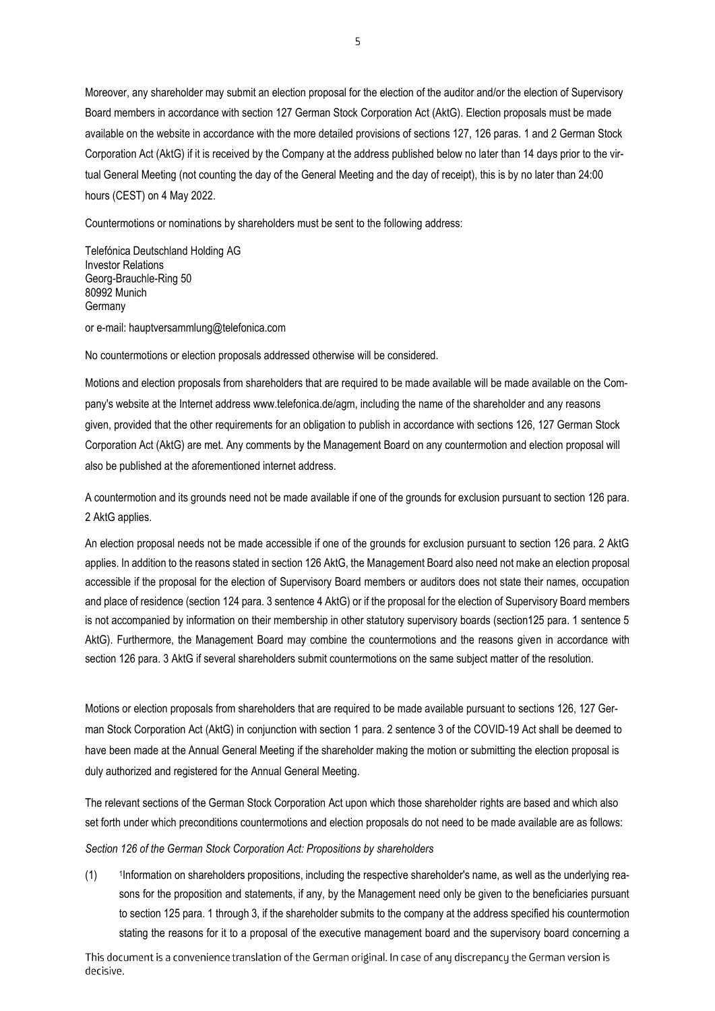Moreover, any shareholder may submit an election proposal for the election of the auditor and/or the election of Supervisory Board members in accordance with section 127 German Stock Corporation Act (AktG). Election proposals must be made available on the website in accordance with the more detailed provisions of sections 127, 126 paras. 1 and 2 German Stock Corporation Act (AktG) if it is received by the Company at the address published below no later than 14 days prior to the virtual General Meeting (not counting the day of the General Meeting and the day of receipt), this is by no later than 24:00 hours (CEST) on 4 May 2022.

Countermotions or nominations by shareholders must be sent to the following address:

Telefónica Deutschland Holding AG Investor Relations Georg-Brauchle-Ring 50 80992 Munich Germany

or e-mail: hauptversammlung@telefonica.com

No countermotions or election proposals addressed otherwise will be considered.

Motions and election proposals from shareholders that are required to be made available will be made available on the Company's website at the Internet address www.telefonica.de/agm, including the name of the shareholder and any reasons given, provided that the other requirements for an obligation to publish in accordance with sections 126, 127 German Stock Corporation Act (AktG) are met. Any comments by the Management Board on any countermotion and election proposal will also be published at the aforementioned internet address.

A countermotion and its grounds need not be made available if one of the grounds for exclusion pursuant to section 126 para. 2 AktG applies.

An election proposal needs not be made accessible if one of the grounds for exclusion pursuant to section 126 para. 2 AktG applies. In addition to the reasons stated in section 126 AktG, the Management Board also need not make an election proposal accessible if the proposal for the election of Supervisory Board members or auditors does not state their names, occupation and place of residence (section 124 para. 3 sentence 4 AktG) or if the proposal for the election of Supervisory Board members is not accompanied by information on their membership in other statutory supervisory boards (section125 para. 1 sentence 5 AktG). Furthermore, the Management Board may combine the countermotions and the reasons given in accordance with section 126 para. 3 AktG if several shareholders submit countermotions on the same subject matter of the resolution.

Motions or election proposals from shareholders that are required to be made available pursuant to sections 126, 127 German Stock Corporation Act (AktG) in conjunction with section 1 para. 2 sentence 3 of the COVID-19 Act shall be deemed to have been made at the Annual General Meeting if the shareholder making the motion or submitting the election proposal is duly authorized and registered for the Annual General Meeting.

The relevant sections of the German Stock Corporation Act upon which those shareholder rights are based and which also set forth under which preconditions countermotions and election proposals do not need to be made available are as follows:

*Section 126 of the German Stock Corporation Act: Propositions by shareholders* 

 $(1)$ Information on shareholders propositions, including the respective shareholder's name, as well as the underlying reasons for the proposition and statements, if any, by the Management need only be given to the beneficiaries pursuant to section 125 para. 1 through 3, if the shareholder submits to the company at the address specified his countermotion stating the reasons for it to a proposal of the executive management board and the supervisory board concerning a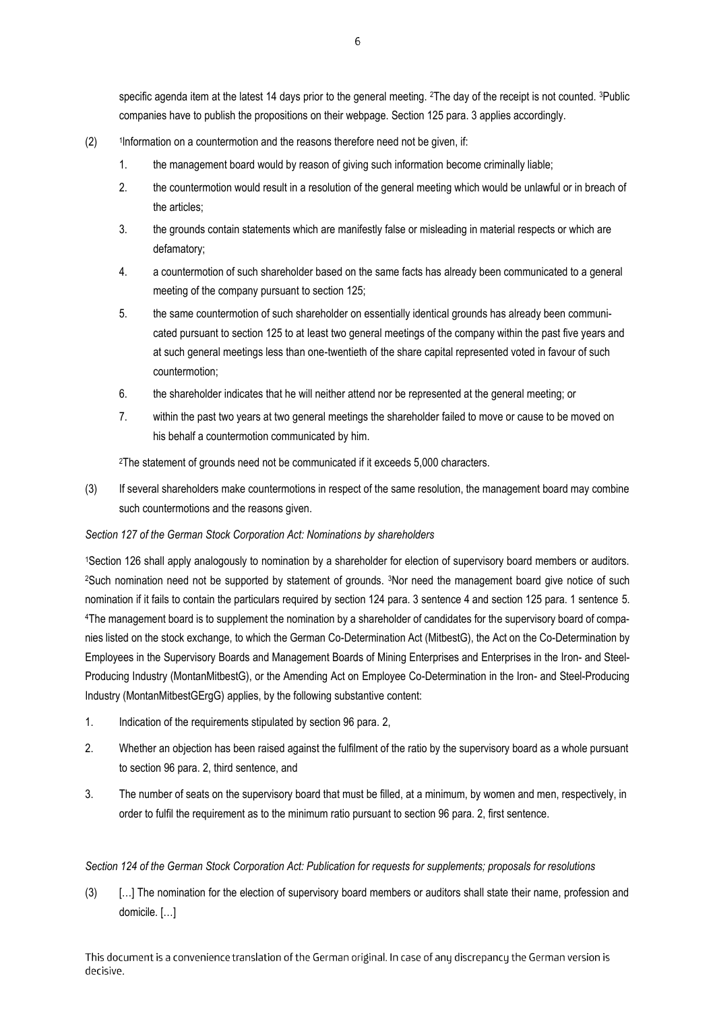specific agenda item at the latest 14 days prior to the general meeting. 2The day of the receipt is not counted. 3Public companies have to publish the propositions on their webpage. Section 125 para. 3 applies accordingly.

- $(2)$ <sup>1</sup> Information on a countermotion and the reasons therefore need not be given, if:
	- 1. the management board would by reason of giving such information become criminally liable;
	- 2. the countermotion would result in a resolution of the general meeting which would be unlawful or in breach of the articles;
	- 3. the grounds contain statements which are manifestly false or misleading in material respects or which are defamatory;
	- 4. a countermotion of such shareholder based on the same facts has already been communicated to a general meeting of the company pursuant to section 125;
	- 5. the same countermotion of such shareholder on essentially identical grounds has already been communicated pursuant to section 125 to at Ieast two general meetings of the company within the past five years and at such general meetings less than one-twentieth of the share capital represented voted in favour of such countermotion;
	- 6. the shareholder indicates that he will neither attend nor be represented at the general meeting; or
	- 7. within the past two years at two general meetings the shareholder failed to move or cause to be moved on his behalf a countermotion communicated by him.

<sup>2</sup>The statement of grounds need not be communicated if it exceeds 5,000 characters.

(3) If several shareholders make countermotions in respect of the same resolution, the management board may combine such countermotions and the reasons given.

#### *Section 127 of the German Stock Corporation Act: Nominations by shareholders*

<sup>1</sup>Section 126 shall apply analogously to nomination by a shareholder for election of supervisory board members or auditors. <sup>2</sup>Such nomination need not be supported by statement of grounds. <sup>3</sup>Nor need the management board give notice of such nomination if it fails to contain the particulars required by section 124 para. 3 sentence 4 and section 125 para. 1 sentence 5. 4The management board is to supplement the nomination by a shareholder of candidates for the supervisory board of companies listed on the stock exchange, to which the German Co-Determination Act (MitbestG), the Act on the Co-Determination by Employees in the Supervisory Boards and Management Boards of Mining Enterprises and Enterprises in the Iron- and Steel-Producing Industry (MontanMitbestG), or the Amending Act on Employee Co-Determination in the Iron- and Steel-Producing Industry (MontanMitbestGErgG) applies, by the following substantive content:

- 1. Indication of the requirements stipulated by section 96 para. 2,
- 2. Whether an objection has been raised against the fulfilment of the ratio by the supervisory board as a whole pursuant to section 96 para. 2, third sentence, and
- 3. The number of seats on the supervisory board that must be filled, at a minimum, by women and men, respectively, in order to fulfil the requirement as to the minimum ratio pursuant to section 96 para. 2, first sentence.

#### *Section 124 of the German Stock Corporation Act: Publication for requests for supplements; proposals for resolutions*

(3) […] The nomination for the election of supervisory board members or auditors shall state their name, profession and domicile. […]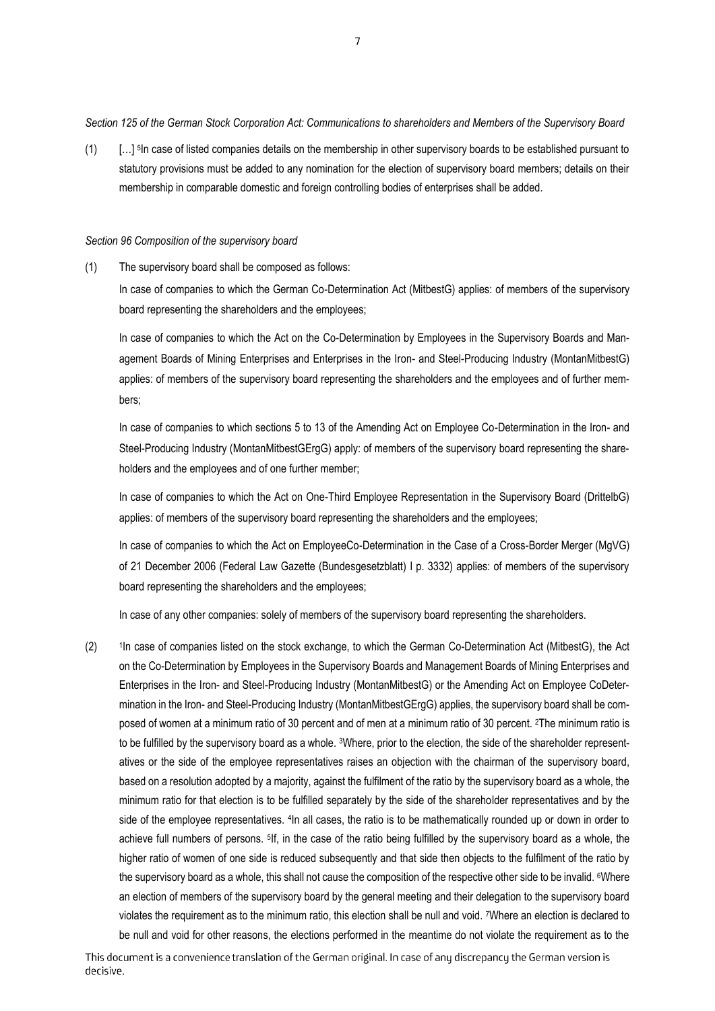*Section 125 of the German Stock Corporation Act: Communications to shareholders and Members of the Supervisory Board* 

(1) […] <sup>5</sup> In case of listed companies details on the membership in other supervisory boards to be established pursuant to statutory provisions must be added to any nomination for the election of supervisory board members; details on their membership in comparable domestic and foreign controlling bodies of enterprises shall be added.

#### *Section 96 Composition of the supervisory board*

(1) The supervisory board shall be composed as follows:

In case of companies to which the German Co-Determination Act (MitbestG) applies: of members of the supervisory board representing the shareholders and the employees;

In case of companies to which the Act on the Co-Determination by Employees in the Supervisory Boards and Management Boards of Mining Enterprises and Enterprises in the Iron- and Steel-Producing Industry (MontanMitbestG) applies: of members of the supervisory board representing the shareholders and the employees and of further members;

In case of companies to which sections 5 to 13 of the Amending Act on Employee Co-Determination in the Iron- and Steel-Producing Industry (MontanMitbestGErgG) apply: of members of the supervisory board representing the shareholders and the employees and of one further member;

In case of companies to which the Act on One-Third Employee Representation in the Supervisory Board (DrittelbG) applies: of members of the supervisory board representing the shareholders and the employees;

In case of companies to which the Act on EmployeeCo-Determination in the Case of a Cross-Border Merger (MgVG) of 21 December 2006 (Federal Law Gazette (Bundesgesetzblatt) I p. 3332) applies: of members of the supervisory board representing the shareholders and the employees;

In case of any other companies: solely of members of the supervisory board representing the shareholders.

 $(2)$ <sup>1</sup>In case of companies listed on the stock exchange, to which the German Co-Determination Act (MitbestG), the Act on the Co-Determination by Employees in the Supervisory Boards and Management Boards of Mining Enterprises and Enterprises in the Iron- and Steel-Producing Industry (MontanMitbestG) or the Amending Act on Employee CoDetermination in the Iron- and Steel-Producing Industry (MontanMitbestGErgG) applies, the supervisory board shall be composed of women at a minimum ratio of 30 percent and of men at a minimum ratio of 30 percent. 2The minimum ratio is to be fulfilled by the supervisory board as a whole. <sup>3</sup>Where, prior to the election, the side of the shareholder representatives or the side of the employee representatives raises an objection with the chairman of the supervisory board, based on a resolution adopted by a majority, against the fulfilment of the ratio by the supervisory board as a whole, the minimum ratio for that election is to be fulfilled separately by the side of the shareholder representatives and by the side of the employee representatives. <sup>4</sup>In all cases, the ratio is to be mathematically rounded up or down in order to achieve full numbers of persons. <sup>5</sup> If, in the case of the ratio being fulfilled by the supervisory board as a whole, the higher ratio of women of one side is reduced subsequently and that side then objects to the fulfilment of the ratio by the supervisory board as a whole, this shall not cause the composition of the respective other side to be invalid. <sup>6</sup>Where an election of members of the supervisory board by the general meeting and their delegation to the supervisory board violates the requirement as to the minimum ratio, this election shall be null and void. 7Where an election is declared to be null and void for other reasons, the elections performed in the meantime do not violate the requirement as to the